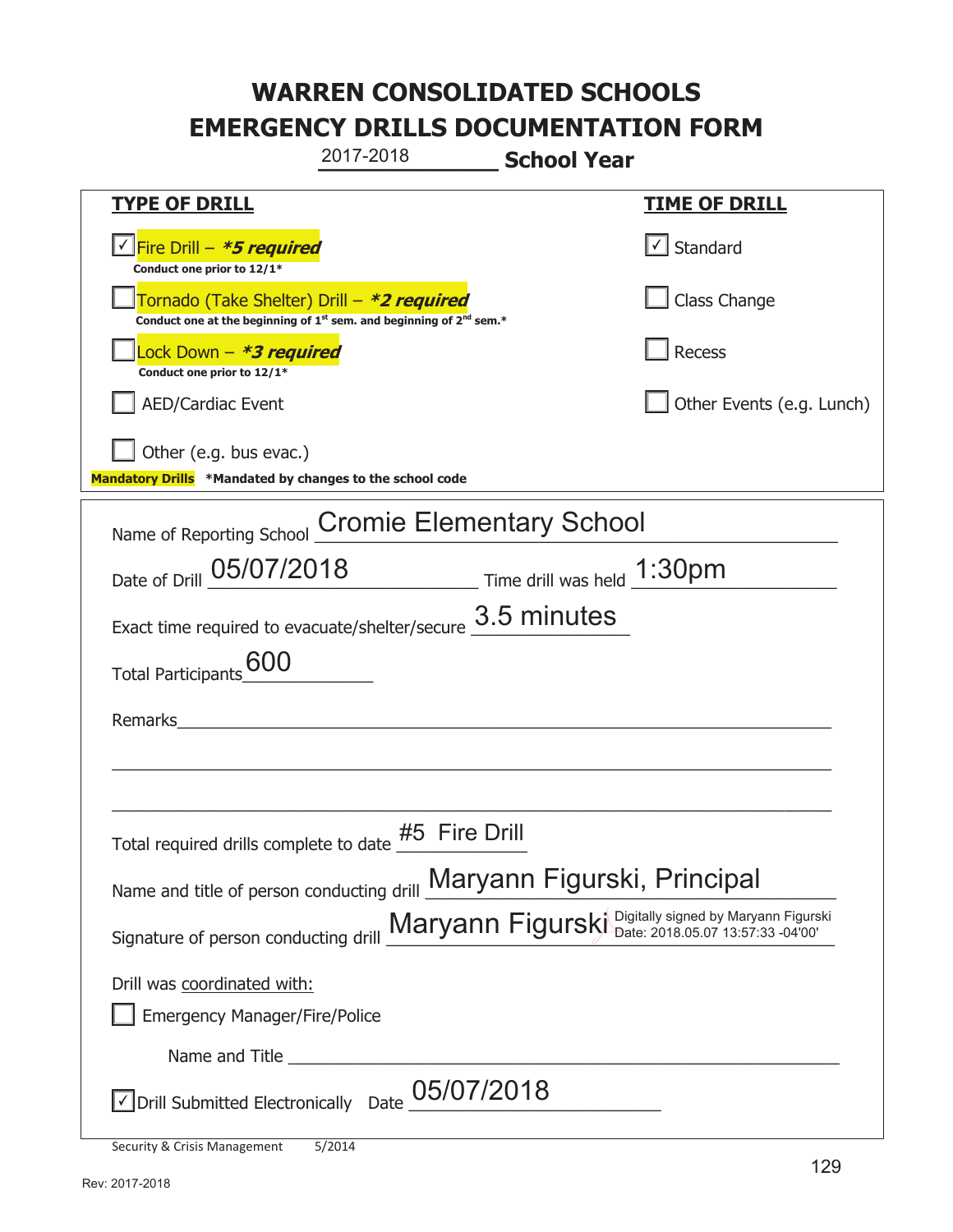**\_\_\_\_\_\_\_\_\_\_\_\_\_ School Year TYPE OF DRILL TIME OF DRILL**  <mark>▽ Fire Drill – *\*5 required* マイクレス マイクレス マイクレス マイクレス マイクレス マイクレス マイクレス マイクレス しゃく</mark> **Conduct one prior to 12/1\***   $\boxed{\sqrt}$  Standard 侊Tornado (Take Shelter) Drill – **\*2 required Conduct one at the beginning of 1<sup>st</sup> sem. and beginning of 2<sup>nd</sup> sem.\*** Class Change 侊Lock Down – **\*3 required Conduct one prior to 12/1\* Recess** AED/Cardiac Event and the contract of the contract of the Contract of Contract of Contract of Contract of Contract of Contract of Contract of Contract of Contract of Contract of Contract of Contract of Contract of Contract Other (e.g. bus evac.) **Mandatory Drills \*Mandated by changes to the school code**  Name of Reporting School Cromie Elementary School Date of Drill  $\underline{05/07/2018}$  Time drill was held  $\underline{1:30pm}$ Exact time required to evacuate/shelter/secure  $3.5$  minutes Total Participants 600 Remarks  $\_$  , and the set of the set of the set of the set of the set of the set of the set of the set of the set of the set of the set of the set of the set of the set of the set of the set of the set of the set of the set of th \_\_\_\_\_\_\_\_\_\_\_\_\_\_\_\_\_\_\_\_\_\_\_\_\_\_\_\_\_\_\_\_\_\_\_\_\_\_\_\_\_\_\_\_\_\_\_\_\_\_\_\_\_\_\_\_\_\_\_\_\_\_\_\_\_\_\_\_\_\_\_\_\_\_\_\_\_ Total required drills complete to date  $\frac{\#5}{\#5}$  Fire Drill Name and title of person conducting drill Maryann Figurski, Principal Signature of person conducting drill **Maryann Figurski** Digitally signed by Maryann Figurski Drill was coordinated with: ܆ Emergency Manager/Fire/Police Name and Title  $\triangledown$  Drill Submitted Electronically Date  $05/07/2018$ 2017-2018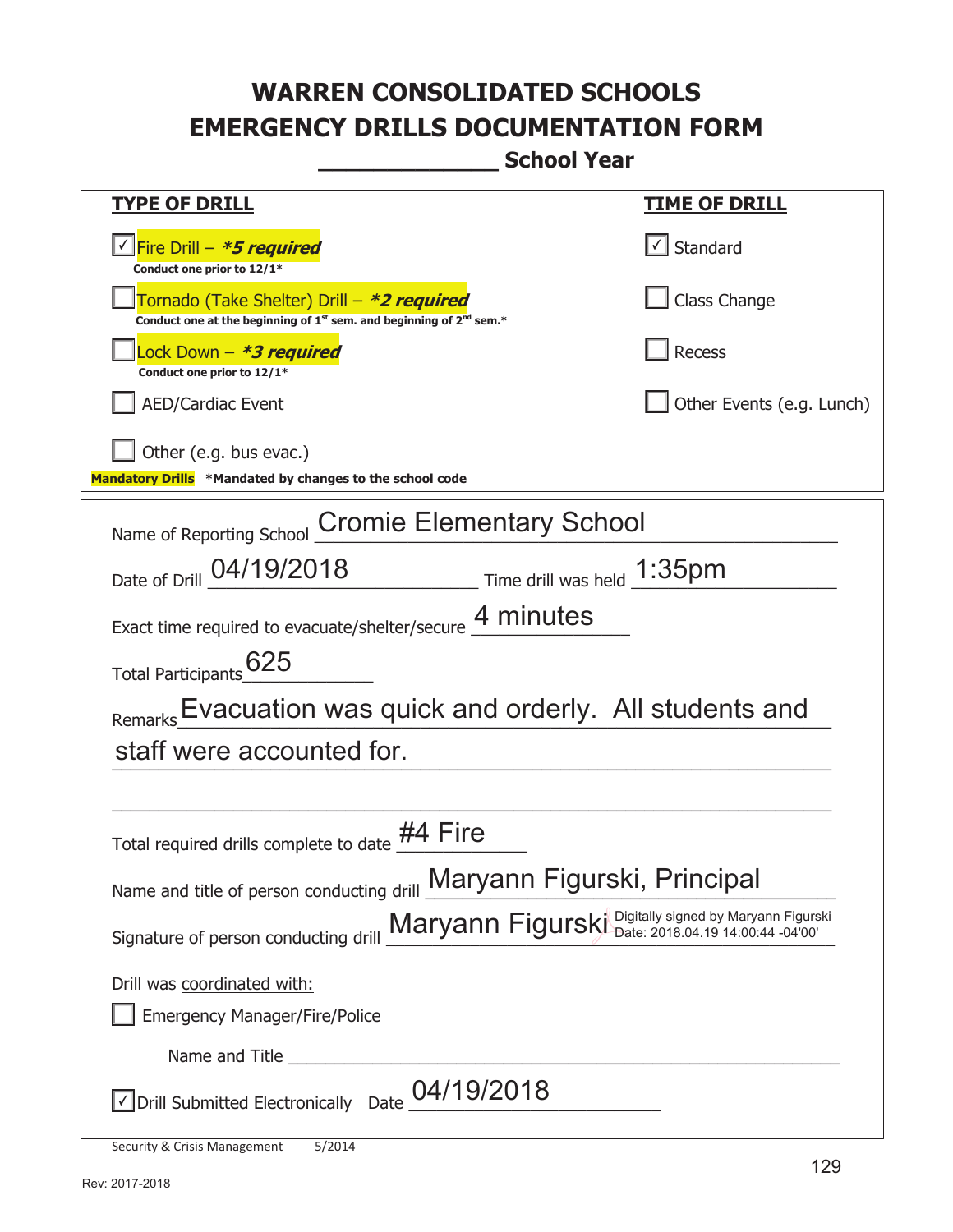**\_\_\_\_\_\_\_\_\_\_\_\_\_ School Year** 

| <u>TYPE OF DRILL</u>                                                                                                                      | <u>TIME OF DRILL</u>              |  |  |  |
|-------------------------------------------------------------------------------------------------------------------------------------------|-----------------------------------|--|--|--|
| Fire Drill - *5 required<br>Conduct one prior to 12/1*                                                                                    | $\lfloor \angle \rfloor$ Standard |  |  |  |
| Tornado (Take Shelter) Drill – *2 required<br>Conduct one at the beginning of 1 <sup>st</sup> sem. and beginning of 2 <sup>nd</sup> sem.* | Class Change                      |  |  |  |
| Lock Down - *3 required<br>Conduct one prior to 12/1*                                                                                     | <b>Recess</b>                     |  |  |  |
| <b>AED/Cardiac Event</b>                                                                                                                  | Other Events (e.g. Lunch)         |  |  |  |
| Other (e.g. bus evac.)<br>Mandatory Drills *Mandated by changes to the school code                                                        |                                   |  |  |  |
|                                                                                                                                           |                                   |  |  |  |
| Name of Reporting School Cromie Elementary School                                                                                         |                                   |  |  |  |
| Date of Drill 04/19/2018<br>$\frac{1:35pm}{1:35pm}$ Time drill was held $\frac{1:35pm}{1:35pm}$                                           |                                   |  |  |  |
| Exact time required to evacuate/shelter/secure 4 minutes                                                                                  |                                   |  |  |  |
| 625<br><b>Total Participants</b>                                                                                                          |                                   |  |  |  |
| Remarks Evacuation was quick and orderly. All students and                                                                                |                                   |  |  |  |
| staff were accounted for.                                                                                                                 |                                   |  |  |  |
|                                                                                                                                           |                                   |  |  |  |
| #4 $Fire$<br>Total required drills complete to date                                                                                       |                                   |  |  |  |
| Name and title of person conducting drill Maryann Figurski, Principal                                                                     |                                   |  |  |  |
| Maryann Figurski Digitally signed by Maryann Figurski<br>Signature of person conducting drill                                             |                                   |  |  |  |
| Drill was coordinated with:                                                                                                               |                                   |  |  |  |
| <b>Emergency Manager/Fire/Police</b>                                                                                                      |                                   |  |  |  |
|                                                                                                                                           |                                   |  |  |  |
| $\overline{\vee}$ Drill Submitted Electronically Date $\_$ 04/19/2018                                                                     |                                   |  |  |  |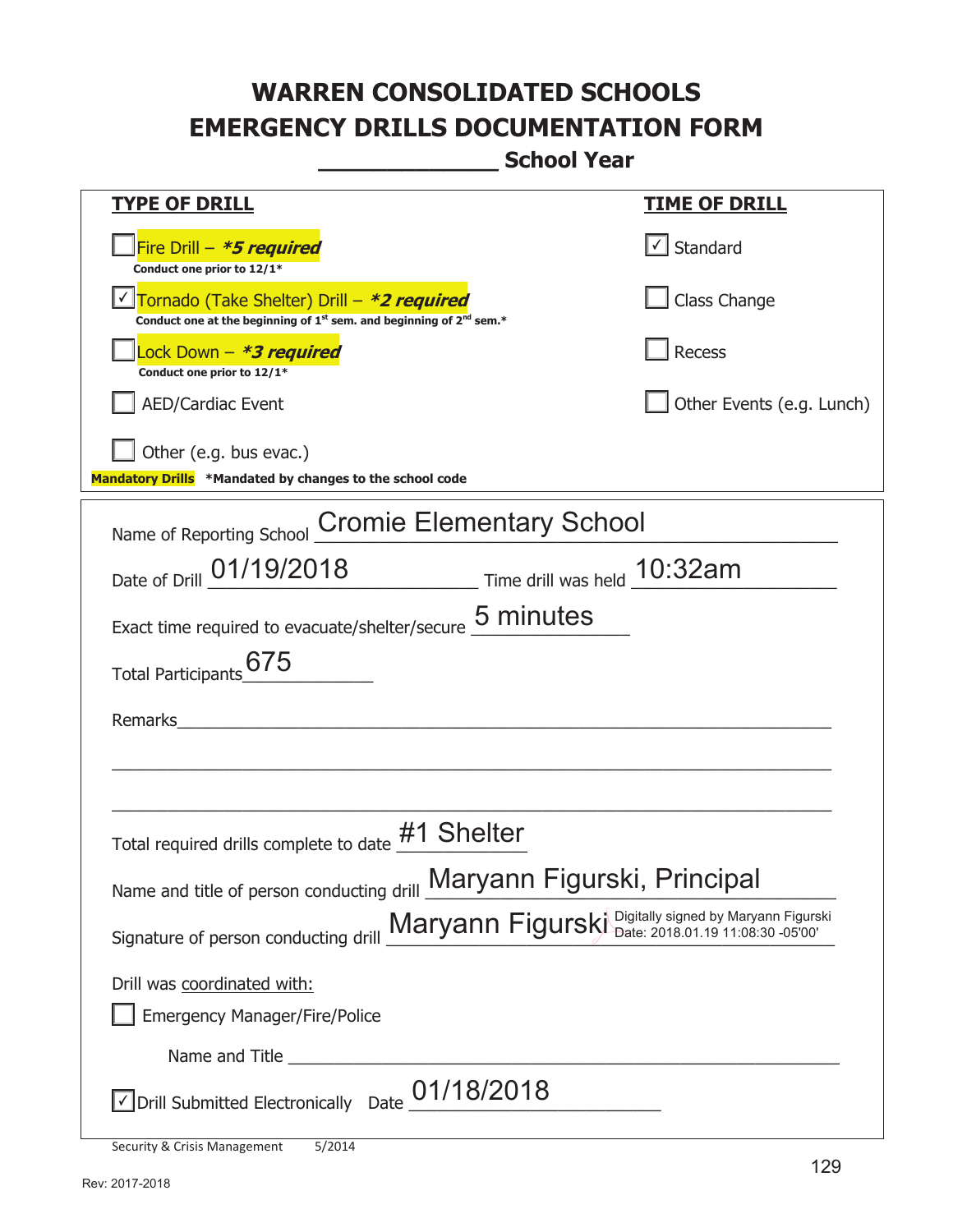**\_\_\_\_\_\_\_\_\_\_\_\_\_ School Year** 

| <b>TYPE OF DRILL</b>                                                                                                                      | <u>TIME OF DRILL</u>              |  |  |  |
|-------------------------------------------------------------------------------------------------------------------------------------------|-----------------------------------|--|--|--|
| Fire Drill - *5 required<br>Conduct one prior to 12/1*                                                                                    | $\lfloor \angle \rfloor$ Standard |  |  |  |
| Tornado (Take Shelter) Drill – *2 required<br>Conduct one at the beginning of 1 <sup>st</sup> sem. and beginning of 2 <sup>nd</sup> sem.* | Class Change                      |  |  |  |
| Lock Down - *3 required<br>Conduct one prior to 12/1*                                                                                     | <b>Recess</b>                     |  |  |  |
| <b>AED/Cardiac Event</b>                                                                                                                  | Other Events (e.g. Lunch)         |  |  |  |
| Other (e.g. bus evac.)<br>Mandatory Drills *Mandated by changes to the school code                                                        |                                   |  |  |  |
| <b>Cromie Elementary School</b><br>Name of Reporting School                                                                               |                                   |  |  |  |
| Date of Drill 01/19/2018 Time drill was held 10:32am                                                                                      |                                   |  |  |  |
| Exact time required to evacuate/shelter/secure 5 minutes                                                                                  |                                   |  |  |  |
| <b>Total Participants</b>                                                                                                                 |                                   |  |  |  |
| Remarks                                                                                                                                   |                                   |  |  |  |
|                                                                                                                                           |                                   |  |  |  |
| #1 Shelter                                                                                                                                |                                   |  |  |  |
| Total required drills complete to date                                                                                                    |                                   |  |  |  |
| Name and title of person conducting drill Maryann Figurski, Principal                                                                     |                                   |  |  |  |
| Maryann Figurski Digitally signed by Maryann Figurski<br>Signature of person conducting drill                                             |                                   |  |  |  |
| Drill was coordinated with:                                                                                                               |                                   |  |  |  |
| <b>Emergency Manager/Fire/Police</b>                                                                                                      |                                   |  |  |  |
|                                                                                                                                           |                                   |  |  |  |
| $\Box$ Drill Submitted Electronically Date $\_01/18/2018$                                                                                 |                                   |  |  |  |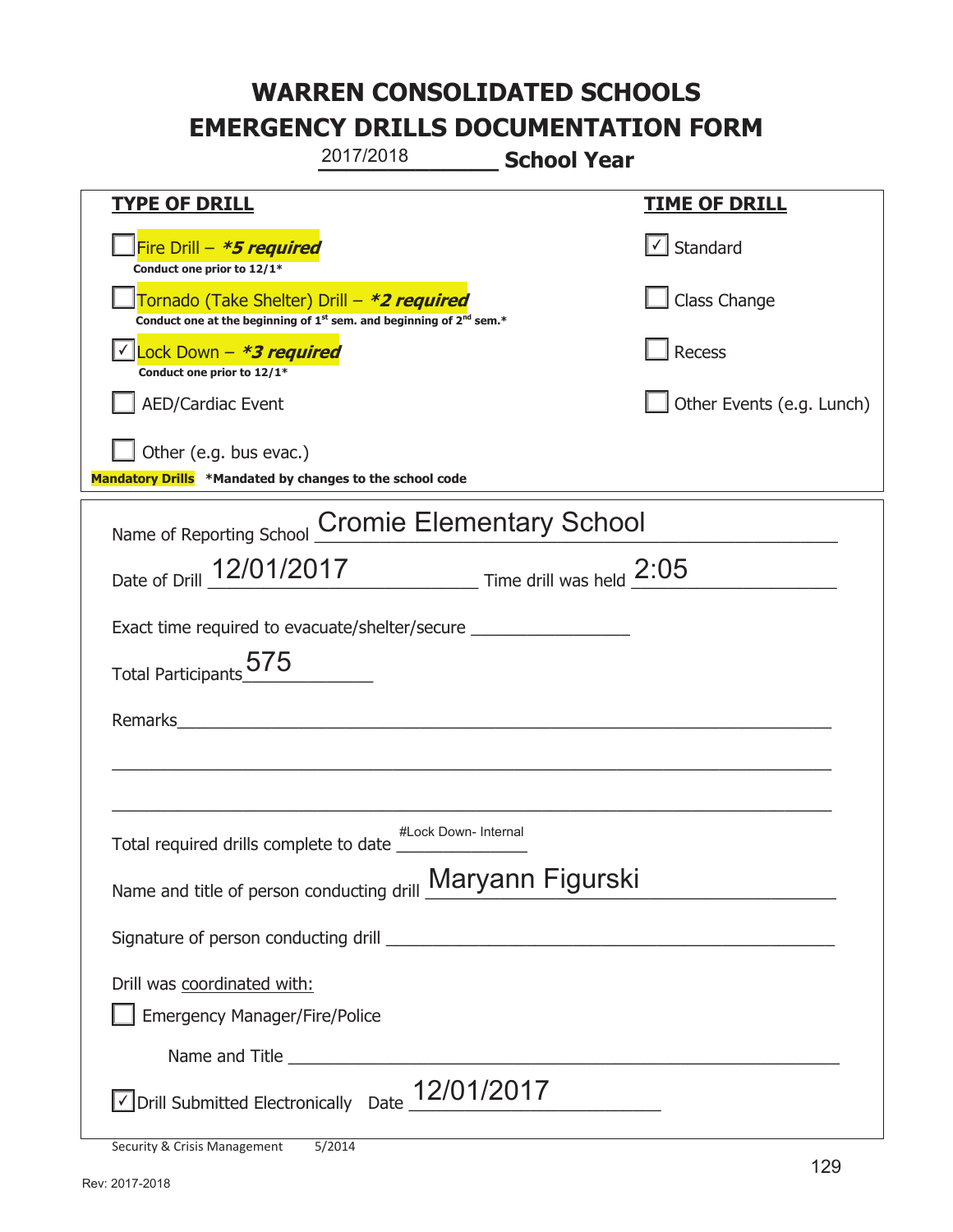|                                                                                    | 2017/2018                                                                                                              | <b>School Year</b> |                           |  |
|------------------------------------------------------------------------------------|------------------------------------------------------------------------------------------------------------------------|--------------------|---------------------------|--|
| <b>TYPE OF DRILL</b>                                                               |                                                                                                                        |                    | <b>TIME OF DRILL</b>      |  |
| Fire Drill - *5 required<br>Conduct one prior to 12/1*                             |                                                                                                                        |                    | $\cup$ Standard           |  |
| Tornado (Take Shelter) Drill – *2 required                                         | Conduct one at the beginning of 1 <sup>st</sup> sem. and beginning of 2 <sup>nd</sup> sem.*                            |                    | Class Change              |  |
| Lock Down - *3 required<br>Conduct one prior to 12/1*                              |                                                                                                                        |                    | Recess                    |  |
| <b>AED/Cardiac Event</b>                                                           |                                                                                                                        |                    | Other Events (e.g. Lunch) |  |
| Other (e.g. bus evac.)<br>Mandatory Drills *Mandated by changes to the school code |                                                                                                                        |                    |                           |  |
| Name of Reporting School Cromie Elementary School                                  |                                                                                                                        |                    |                           |  |
| Date of Drill 12/01/2017                                                           |                                                                                                                        |                    |                           |  |
| Exact time required to evacuate/shelter/secure _________________________________   |                                                                                                                        |                    |                           |  |
| Total Participants $575$                                                           |                                                                                                                        |                    |                           |  |
| Remarks                                                                            | <u> 1980 - Andrea Barbara, martin a bhaile an t-Alban an t-Alban an t-Alban an t-Alban an t-Alban an t-Alban an t-</u> |                    |                           |  |
|                                                                                    |                                                                                                                        |                    |                           |  |
|                                                                                    |                                                                                                                        |                    |                           |  |
|                                                                                    | #Lock Down- Internal                                                                                                   |                    |                           |  |
| Name and title of person conducting drill <b>Maryann Figurski</b>                  |                                                                                                                        |                    |                           |  |
|                                                                                    |                                                                                                                        |                    |                           |  |
| Drill was coordinated with:                                                        |                                                                                                                        |                    |                           |  |
| <b>Emergency Manager/Fire/Police</b>                                               |                                                                                                                        |                    |                           |  |
|                                                                                    |                                                                                                                        |                    |                           |  |
| √Drill Submitted Electronically Date 12/01/2017                                    |                                                                                                                        |                    |                           |  |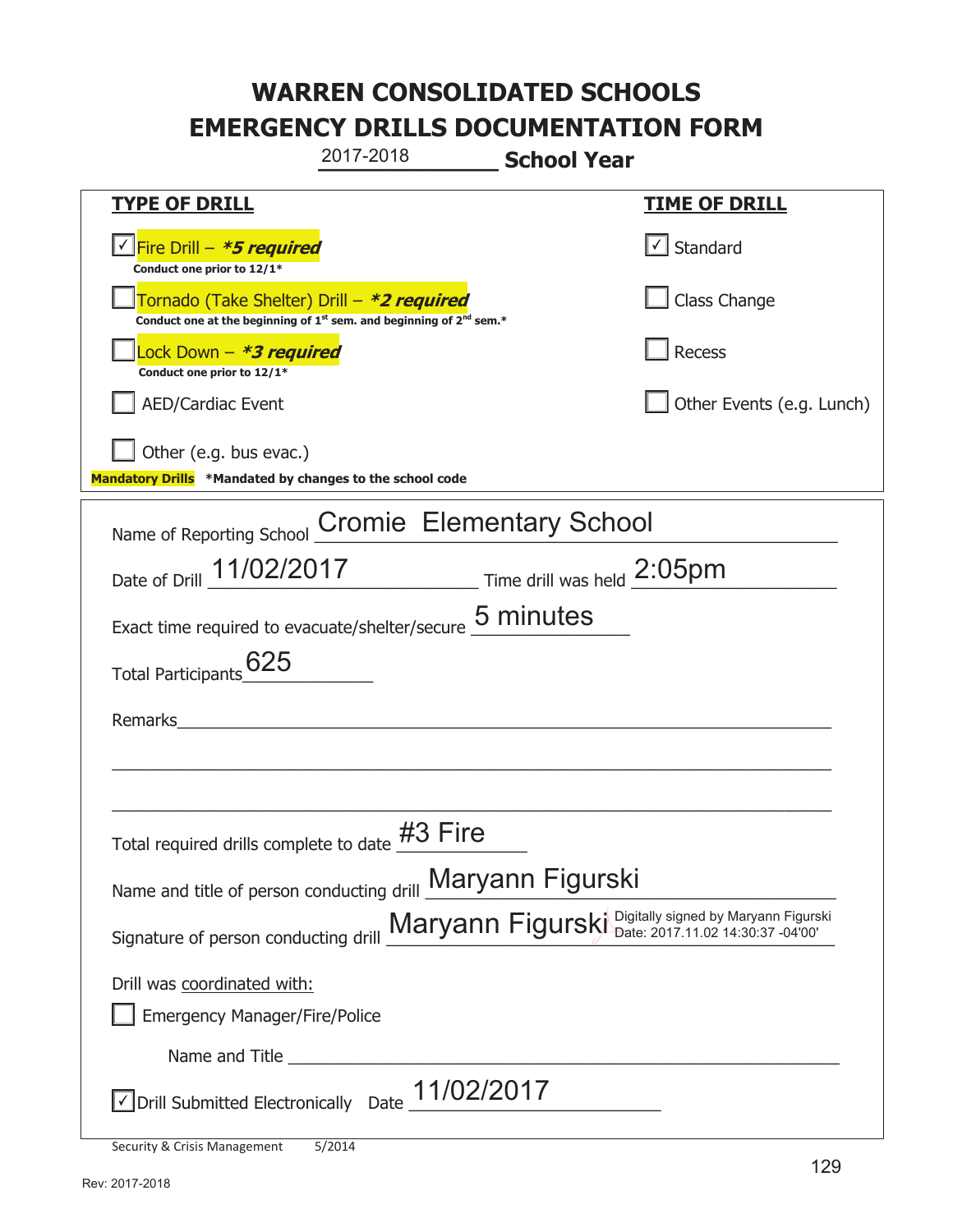**\_\_\_\_\_\_\_\_\_\_\_\_\_ School Year TYPE OF DRILL TIME OF DRILL**  <mark>▽ Fire Drill – *\*5 required* マイクレント マイクレント マイクレント マイクレント マイクレント</mark> **Conduct one prior to 12/1\***   $\boxed{\sqrt}$  Standard 侊Tornado (Take Shelter) Drill – **\*2 required Conduct one at the beginning of 1<sup>st</sup> sem. and beginning of 2<sup>nd</sup> sem.\*** Class Change 侊Lock Down – **\*3 required Conduct one prior to 12/1\* Recess** AED/Cardiac Event and a set of the set of the set of the United States (e.g. Lunch) Other (e.g. bus evac.) **Mandatory Drills \*Mandated by changes to the school code**  Name of Reporting School Cromie Elementary School Date of Drill  $\frac{11/02/2017}{2}$  Time drill was held  $\frac{2:05pm}{2}$ Exact time required to evacuate/shelter/secure  $\frac{5 \text{ minutes}}{2}$ Total Participants $\underline{625}$ Remarks  $\_$  , and the set of the set of the set of the set of the set of the set of the set of the set of the set of the set of the set of the set of the set of the set of the set of the set of the set of the set of the set of th \_\_\_\_\_\_\_\_\_\_\_\_\_\_\_\_\_\_\_\_\_\_\_\_\_\_\_\_\_\_\_\_\_\_\_\_\_\_\_\_\_\_\_\_\_\_\_\_\_\_\_\_\_\_\_\_\_\_\_\_\_\_\_\_\_\_\_\_\_\_\_\_\_\_\_\_\_ Total required drills complete to date  $\frac{\#3 \text{ Fire}}{\}$ Name and title of person conducting drill **Maryann Figurski** Signature of person conducting drill **Maryann Figurski** Digitally signed by Maryann Figurski Drill was coordinated with: ܆ Emergency Manager/Fire/Police Name and Title **Example 20**  $\triangledown$  Drill Submitted Electronically Date  $\underline{11/02/2017}$ 2017-2018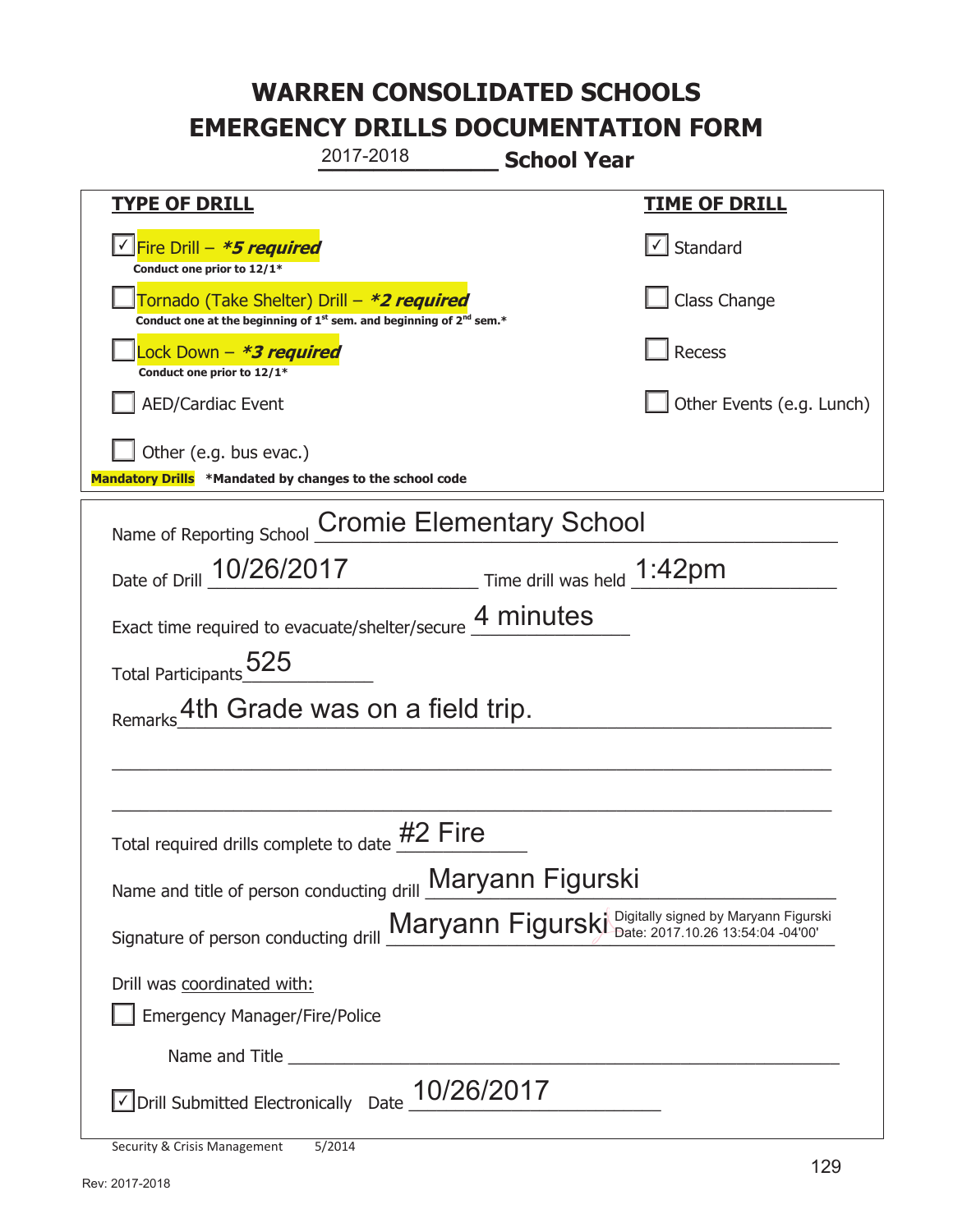**\_\_\_\_\_\_\_\_\_\_\_\_\_ School Year TYPE OF DRILL TIME OF DRILL**  <mark>▽ Fire Drill – *\*5 required* マイクレント マイクレント マイクレント マイクレント マイクレント</mark> **Conduct one prior to 12/1\***   $\boxed{\sqrt}$  Standard 侊Tornado (Take Shelter) Drill – **\*2 required** Conduct one at the beginning of 1<sup>st</sup> sem. and beginning of 2<sup>nd</sup> sem.\* Class Change 侊Lock Down – **\*3 required Conduct one prior to 12/1\* Recess** AED/Cardiac Event and the contract of the contract of the Contract of Contract of Contract of Contract of Contract of Contract of Contract of Contract of Contract of Contract of Contract of Contract of Contract of Contract Other (e.g. bus evac.) **Mandatory Drills \*Mandated by changes to the school code**  Name of Reporting School Cromie Elementary School Date of Drill  $\frac{10/26/2017}{20}$  Time drill was held  $\frac{1:42pm$ Exact time required to evacuate/shelter/secure  $\frac{4 \text{ minutes}}{4}$ Total Participants  $\overline{\text{525}}$ Remarks\_4th Grade was on a field trip.  $\_$  , and the set of the set of the set of the set of the set of the set of the set of the set of the set of the set of the set of the set of the set of the set of the set of the set of the set of the set of the set of th \_\_\_\_\_\_\_\_\_\_\_\_\_\_\_\_\_\_\_\_\_\_\_\_\_\_\_\_\_\_\_\_\_\_\_\_\_\_\_\_\_\_\_\_\_\_\_\_\_\_\_\_\_\_\_\_\_\_\_\_\_\_\_\_\_\_\_\_\_\_\_\_\_\_\_\_\_ Total required drills complete to date  $\frac{\#2 \text{ Fire}}{\}$ Name and title of person conducting drill **Maryann Figurski** Signature of person conducting drill **Maryann Figurski** Digitally signed by Maryann Figurski Drill was coordinated with: ܆ Emergency Manager/Fire/Police Name and Title **Latter and Structure**  $\triangledown$  Drill Submitted Electronically Date  $\underline{10/26/2017}$ 2017-2018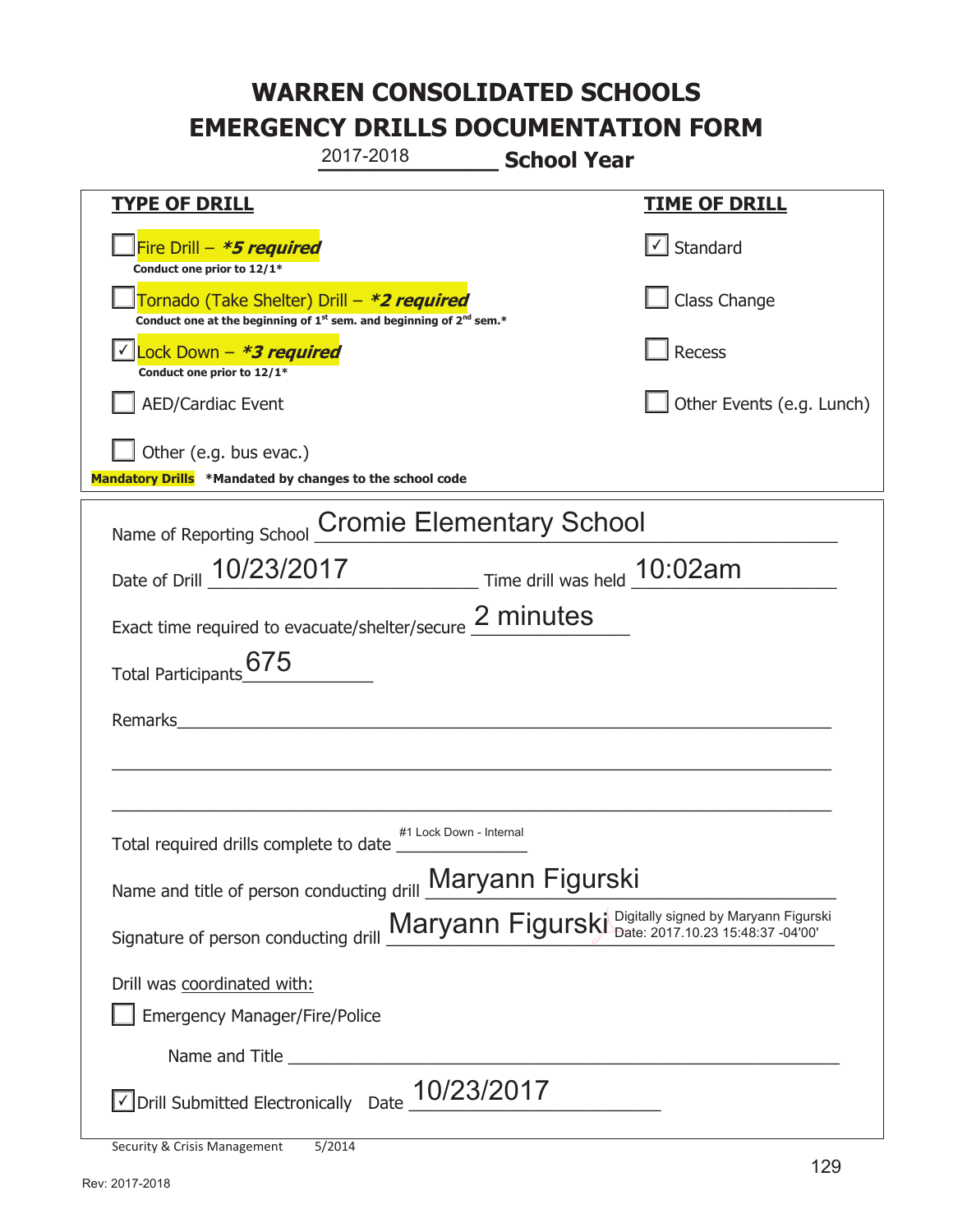**\_\_\_\_\_\_\_\_\_\_\_\_\_ School Year TYPE OF DRILL TIME OF DRILL**  侊Fire Drill – **\*5 required Conduct one prior to 12/1\***   $\boxed{\checkmark}$  Standard 侊Tornado (Take Shelter) Drill – **\*2 required Conduct one at the beginning of 1<sup>st</sup> sem. and beginning of 2<sup>nd</sup> sem.\*** Class Change 侊Lock Down – **\*3 required** ✔ **Conduct one prior to 12/1\* Recess** AED/Cardiac Event and a set of the set of the set of the United States (e.g. Lunch) Other (e.g. bus evac.) **Mandatory Drills \*Mandated by changes to the school code**  Name of Reporting School Cromie Elementary School Date of Drill  $\frac{10/23/2017}{20}$  Time drill was held  $\frac{10:02am}{2}$ Exact time required to evacuate/shelter/secure  $\frac{2 \text{ minutes}}{2}$ Total Participants $\underline{675}$ Remarks  $\_$  , and the set of the set of the set of the set of the set of the set of the set of the set of the set of the set of the set of the set of the set of the set of the set of the set of the set of the set of the set of th \_\_\_\_\_\_\_\_\_\_\_\_\_\_\_\_\_\_\_\_\_\_\_\_\_\_\_\_\_\_\_\_\_\_\_\_\_\_\_\_\_\_\_\_\_\_\_\_\_\_\_\_\_\_\_\_\_\_\_\_\_\_\_\_\_\_\_\_\_\_\_\_\_\_\_\_\_ Total required drills complete to date  $\frac{1}{2}$  Lock Down - Internal Name and title of person conducting drill **Maryann Figurski** Signature of person conducting drill **Maryann Figurski** Digitally signed by Maryann Figurski Drill was coordinated with: ܆ Emergency Manager/Fire/Police Name and Title **Example 20**  $\triangledown$  Drill Submitted Electronically Date  $\underline{10/23/2017}$ 2017-2018